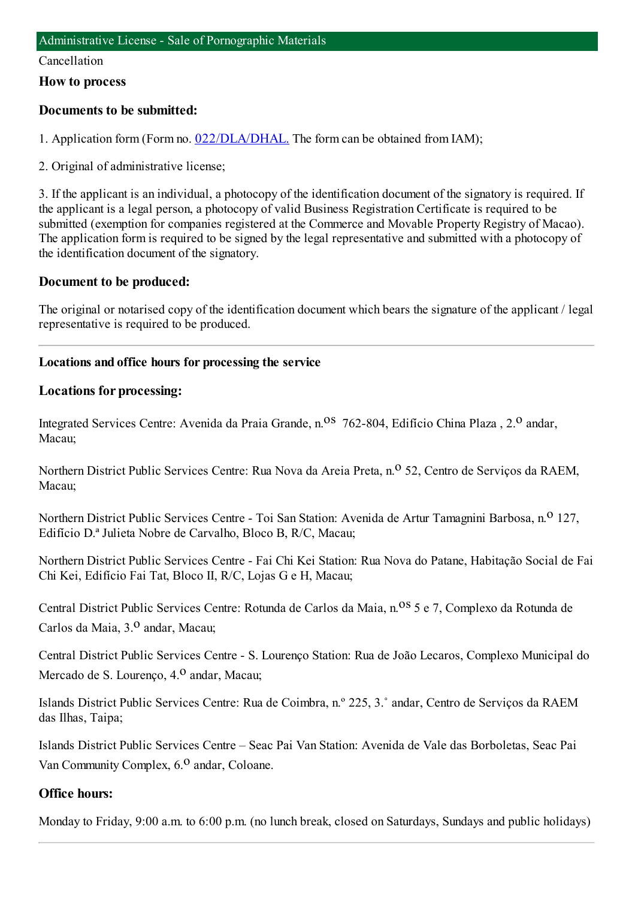#### Cancellation

#### **How to process**

# **Documents to be submitted:**

1. Application form (Form no. [022/DLA/DHAL.](https://www.iam.gov.mo/c/pdf/eformDetail/PDF1013) The form can be obtained from IAM);

2. Original of administrative license;

3. If the applicant is an individual, a photocopy of the identification document of the signatory is required. If the applicant is a legal person, a photocopy of valid Business Registration Certificate is required to be submitted (exemption for companies registered at the Commerce and Movable Property Registry of Macao). The application formis required to be signed by the legal representative and submitted with a photocopy of the identification document of the signatory.

# **Document to be produced:**

The original or notarised copy of the identification document which bears the signature of the applicant / legal representative is required to be produced.

# **Locations and office hours for processing the service**

#### **Locations for processing:**

Integrated Services Centre: Avenida da Praia Grande, n.<sup>08</sup> 762-804, Edifício China Plaza , 2.<sup>0</sup> andar, Macau;

Northern District Public Services Centre: Rua Nova da Areia Preta, n.<sup>o</sup> 52, Centro de Serviços da RAEM, Macau;

Northern District Public Services Centre - Toi San Station: Avenida de Artur Tamagnini Barbosa, n.º 127, Edifício D.ª Julieta Nobre de Carvalho, Bloco B, R/C, Macau;

Northern District Public Services Centre - Fai Chi Kei Station: Rua Nova do Patane, Habitação Social de Fai Chi Kei, Edifício Fai Tat, Bloco II, R/C, Lojas G e H, Macau;

Central District Public Services Centre: Rotunda de Carlos da Maia, n.<sup>0S</sup> 5 e 7, Complexo da Rotunda de Carlos da Maia, 3.<sup>0</sup> andar, Macau;

Central District Public Services Centre - S. Lourenço Station: Rua de João Lecaros, Complexo Municipal do Mercado de S. Lourenco, 4.<sup>0</sup> andar, Macau;

Islands District Public Services Centre: Rua de Coimbra, n.º 225, 3.˚ andar, Centro de Serviços da RAEM das Ilhas, Taipa;

Islands District Public Services Centre – Seac Pai Van Station: Avenida de Vale das Borboletas, Seac Pai Van Community Complex, 6.<sup>0</sup> andar, Coloane.

# **Office hours:**

Monday to Friday, 9:00 a.m. to 6:00 p.m. (no lunch break, closed on Saturdays, Sundays and public holidays)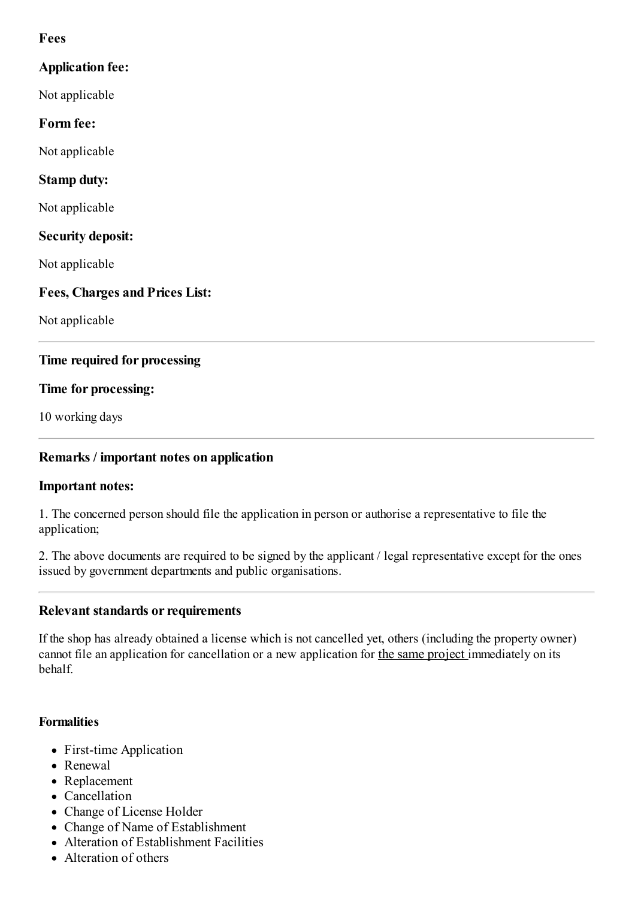# **Fees**

# **Application fee:** Not applicable **Form fee:** Not applicable **Stamp duty:** Not applicable **Security deposit:** Not applicable **Fees, Charges and Prices List:**

Not applicable

# **Time required for processing**

# **Time for processing:**

10 working days

# **Remarks / important notes on application**

# **Important notes:**

1. The concerned person should file the application in person or authorise a representative to file the application;

2. The above documents are required to be signed by the applicant / legal representative except for the ones issued by government departments and public organisations.

# **Relevant standards or requirements**

If the shop has already obtained a license which is not cancelled yet, others (including the property owner) cannot file an application for cancellation or a new application for the same project immediately on its behalf.

# **Formalities**

- First-time Application
- Renewal
- Replacement
- Cancellation
- Change of License Holder
- Change of Name of Establishment
- Alteration of Establishment Facilities
- Alteration of others